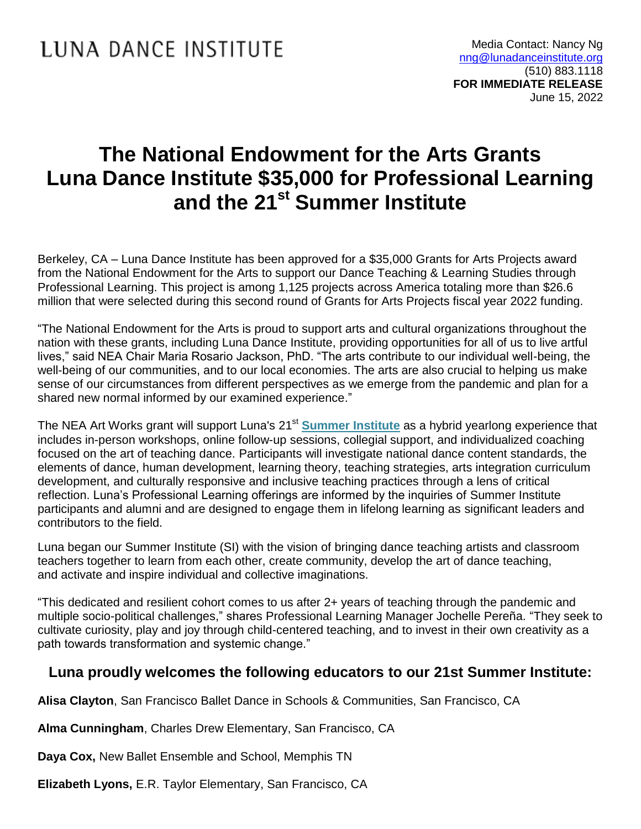## **The National Endowment for the Arts Grants Luna Dance Institute \$35,000 for Professional Learning and the 21st Summer Institute**

Berkeley, CA – Luna Dance Institute has been approved for a \$35,000 Grants for Arts Projects award from the National Endowment for the Arts to support our Dance Teaching & Learning Studies through Professional Learning. This project is among 1,125 projects across America totaling more than \$26.6 million that were selected during this second round of Grants for Arts Projects fiscal year 2022 funding.

"The National Endowment for the Arts is proud to support arts and cultural organizations throughout the nation with these grants, including Luna Dance Institute, providing opportunities for all of us to live artful lives," said NEA Chair Maria Rosario Jackson, PhD. "The arts contribute to our individual well-being, the well-being of our communities, and to our local economies. The arts are also crucial to helping us make sense of our circumstances from different perspectives as we emerge from the pandemic and plan for a shared new normal informed by our examined experience."

The NEA Art Works grant will support Luna's 21<sup>st</sup> [Summer Institute](https://lunadanceinstitute.org/professional-learning/institutes/summer/) as a hybrid yearlong experience that includes in-person workshops, online follow-up sessions, collegial support, and individualized coaching focused on the art of teaching dance. Participants will investigate national dance content standards, the elements of dance, human development, learning theory, teaching strategies, arts integration curriculum development, and culturally responsive and inclusive teaching practices through a lens of critical reflection. Luna's Professional Learning offerings are informed by the inquiries of Summer Institute participants and alumni and are designed to engage them in lifelong learning as significant leaders and contributors to the field.

Luna began our Summer Institute (SI) with the vision of bringing dance teaching artists and classroom teachers together to learn from each other, create community, develop the art of dance teaching, and activate and inspire individual and collective imaginations.

"This dedicated and resilient cohort comes to us after 2+ years of teaching through the pandemic and multiple socio-political challenges," shares Professional Learning Manager Jochelle Pereña. "They seek to cultivate curiosity, play and joy through child-centered teaching, and to invest in their own creativity as a path towards transformation and systemic change."

## **Luna proudly welcomes the following educators to our 21st Summer Institute:**

**Alisa Clayton**, San Francisco Ballet Dance in Schools & Communities, San Francisco, CA

**Alma Cunningham**, Charles Drew Elementary, San Francisco, CA

**Daya Cox,** New Ballet Ensemble and School, Memphis TN

**Elizabeth Lyons,** E.R. Taylor Elementary, San Francisco, CA